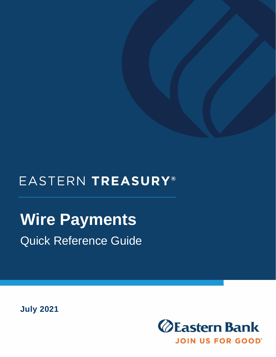## EASTERN TREASURY®

## **Wire Payments** Quick Reference Guide

**July 2021**

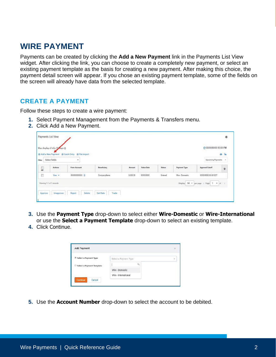## **WIRE PAYMENT**

Payments can be created by clicking the **Add a New Payment** link in the Payments List View widget. After clicking the link, you can choose to create a completely new payment, or select an existing payment template as the basis for creating a new payment. After making this choice, the payment detail screen will appear. If you chose an existing payment template, some of the fields on the screen will already have data from the selected template.

## **CREATE A PAYMENT**

Follow these steps to create a wire payment:

- **1.** Select Payment Management from the Payments & Transfers menu.
- **2.** Click Add a New Payment.

|                              | Add a New Payment @ Quick Entry @ File Import |                    |          |                   |               |                 |                        | 0 <sup>2</sup> |
|------------------------------|-----------------------------------------------|--------------------|----------|-------------------|---------------|-----------------|------------------------|----------------|
| Select fields                | ۳                                             |                    |          |                   |               |                 | Upcoming Payments      | <b>CM</b>      |
| Actions<br><b>STATISTICS</b> | From Account                                  | <b>Beneficiary</b> | Amount   | <b>Value Date</b> | <b>Status</b> | Payment Type    | <b>Approval Cutoff</b> | ŋ.             |
| View *                       | 000000000000                                  | CompanyName        | 0.000.00 | 00/00/0000        | Entered       | Wire - Domestic | 00/00/0008 00:00 EDT   |                |

- **3.** Use the **Payment Type** drop-down to select either **Wire-Domestic** or **Wire-International**  or use the **Select a Payment Template** drop-down to select an existing template.
- **4.** Click Continue.

| <b>Add Payment</b>                 | $\times$              |          |            |
|------------------------------------|-----------------------|----------|------------|
| <sup>®</sup> Select a Payment Type | Select a Payment Type |          | $_{\rm r}$ |
| Select a Payment Template          |                       | $\alpha$ |            |
|                                    | Wire - Domestic       |          |            |
|                                    | Wire - International  |          |            |
| Cancel<br><b>Continue</b>          |                       |          |            |

**5.** Use the **Account Number** drop-down to select the account to be debited.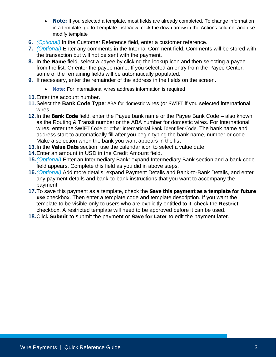- **Note:** If you selected a template, most fields are already completed. To change information in a template, go to Template List View; click the down arrow in the Actions column; and use modify template
- **6.** *(Optional)* In the Customer Reference field, enter a customer reference.
- **7.** *(Optional)* Enter any comments in the Internal Comment field. Comments will be stored with the transaction but will not be sent with the payment.
- **8.** In the **Name** field, select a payee by clicking the lookup icon and then selecting a payee from the list. Or enter the payee name. If you selected an entry from the Payee Center, some of the remaining fields will be automatically populated.
- **9.** If necessary, enter the remainder of the address in the fields on the screen.
	- **Note:** For international wires address information is required
- **10.**Enter the account number.
- **11.**Select the **Bank Code Type**: ABA for domestic wires (or SWIFT if you selected international wires.
- **12.**In the **Bank Code** field, enter the Payee bank name or the Payee Bank Code also known as the Routing & Transit number or the ABA number for domestic wires. For International wires, enter the SWIFT Code or other international Bank Identifier Code. The bank name and address start to automatically fill after you begin typing the bank name, number or code. Make a selection when the bank you want appears in the list
- **13.**In the **Value Date** section, use the calendar icon to select a value date.
- **14.**Enter an amount in USD in the Credit Amount field.
- **15.***(Optional)* Enter an Intermediary Bank: expand Intermediary Bank section and a bank code field appears. Complete this field as you did in above steps.
- **16.***(Optional)* Add more details: expand Payment Details and Bank-to-Bank Details, and enter any payment details and bank-to-bank instructions that you want to accompany the payment.
- **17.**To save this payment as a template, check the **Save this payment as a template for future use** checkbox. Then enter a template code and template description. If you want the template to be visible only to users who are explicitly entitled to it, check the **Restrict**  checkbox. A restricted template will need to be approved before it can be used.
- **18.**Click **Submit** to submit the payment or **Save for Later** to edit the payment later.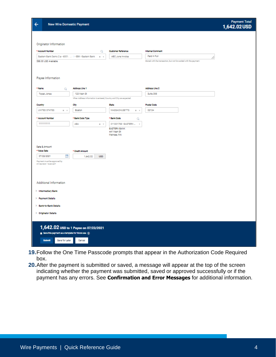| ᡷ | <b>New Wire Domestic Payment</b>                      |         |                           |                                                                 |
|---|-------------------------------------------------------|---------|---------------------------|-----------------------------------------------------------------|
|   | Originator Information                                |         |                           |                                                                 |
|   | * Account Number                                      | Q       | <b>Customer Reference</b> | <b>Internal Comment</b>                                         |
|   | Eastern Bank Demo 2 a - 6001.  I - EBK - Eastern Bank | $x - v$ | ABC June Invoice          | Paid in Full                                                    |
|   | \$58.00 USD Available                                 |         |                           | Stored with the transaction, but not forwarded with the payment |
|   |                                                       |         |                           |                                                                 |
|   |                                                       |         |                           |                                                                 |
|   | ______                                                |         |                           |                                                                 |

 $\leftarrow$ 

| * Name<br>a                     | Address Line 1                                                      |                                                   | Address Line 2     |
|---------------------------------|---------------------------------------------------------------------|---------------------------------------------------|--------------------|
| Topaz Jones                     | 123 Main St                                                         |                                                   | Sulta 395          |
|                                 | When Address Information is entered, Country and City are expected. |                                                   |                    |
| Country                         | City                                                                | State                                             | <b>Postal Code</b> |
| <b>UNITED STATES</b><br>$x - r$ | Boston                                                              | <b>MASSACHUSETTS</b><br>$x - r$                   | 02134              |
| * Account Number                | * Bank Code Type                                                    | * Bank Code<br>Q                                  |                    |
| 111111111                       | <b>ABA</b><br>$x - r$                                               | 011301798 - EASTERN<br>$\alpha$                   |                    |
|                                 |                                                                     | <b>EASTERN BANK</b><br>441 Main St<br>Melrose, MA |                    |
|                                 |                                                                     |                                                   |                    |
| Date & Amount<br>* Value Date   | * Credit Amount                                                     |                                                   |                    |
| 蘭<br>07/23/2021                 | 1,642.02<br>USD                                                     |                                                   |                    |
| Payment must be approved by     |                                                                     |                                                   |                    |
| 07/22/2021 16:30 EDT            |                                                                     |                                                   |                    |
|                                 |                                                                     |                                                   |                    |
|                                 |                                                                     |                                                   |                    |
| Additional Information          |                                                                     |                                                   |                    |
| > Intermediary Bank             |                                                                     |                                                   |                    |
|                                 |                                                                     |                                                   |                    |
| > Payment Details               |                                                                     |                                                   |                    |
| > Bank-to-Bank Details          |                                                                     |                                                   |                    |
| > Originator Details            |                                                                     |                                                   |                    |
|                                 |                                                                     |                                                   |                    |

- **19.**Follow the One Time Passcode prompts that appear in the Authorization Code Required box.
- **20.**After the payment is submitted or saved, a message will appear at the top of the screen indicating whether the payment was submitted, saved or approved successfully or if the payment has any errors. See **Confirmation and Error Messages** for additional information.

Payment Total<br>1,642.02 USD